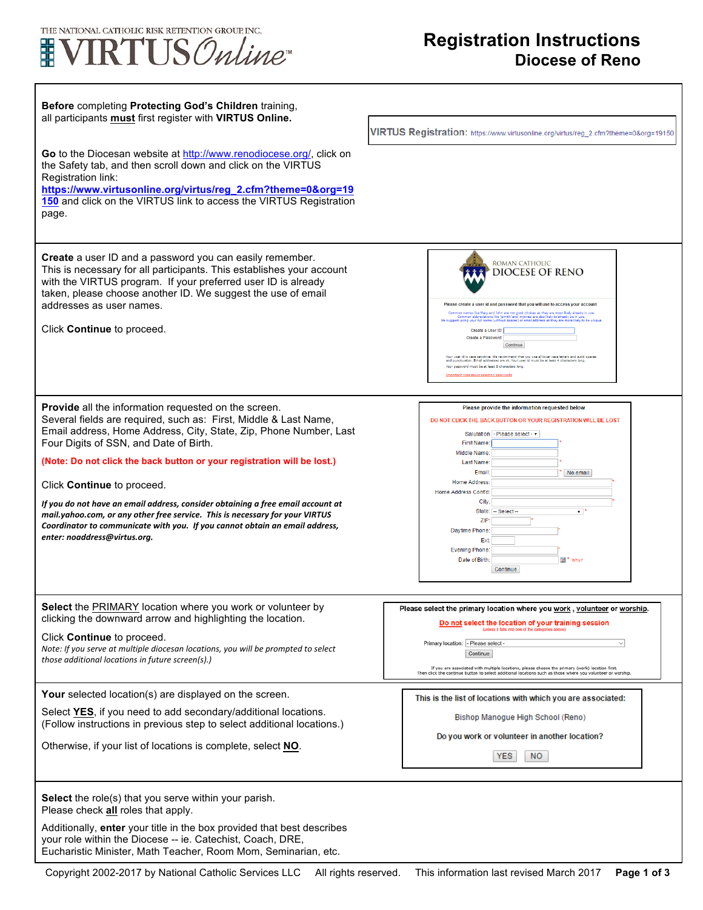

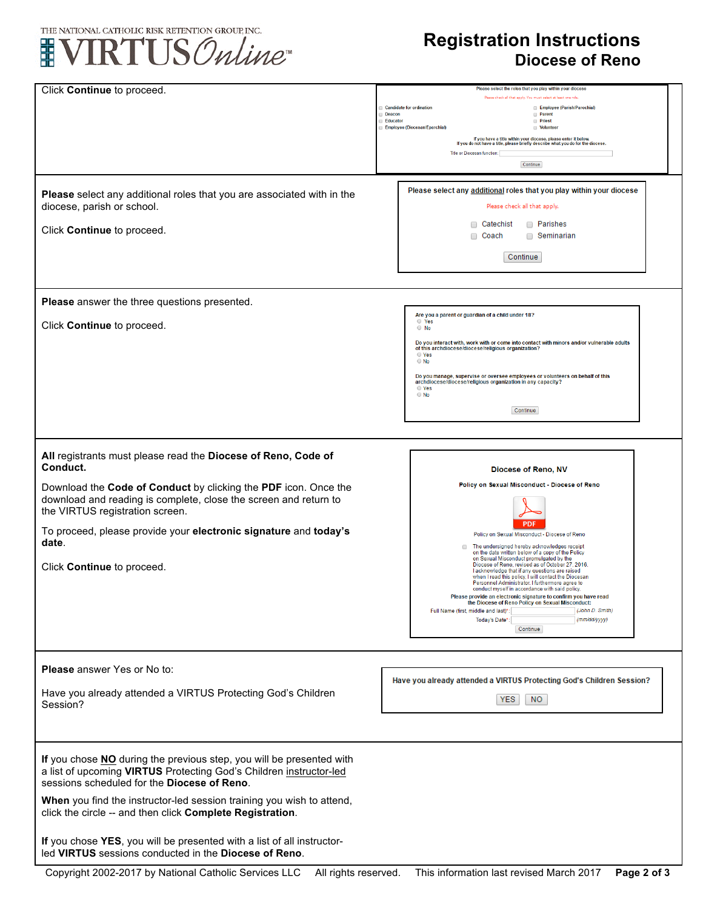

## **Registration Instructions Diocese of Reno**

| Click Continue to proceed.                                             | Please select the roles that you play within your diocese                                                                                        |
|------------------------------------------------------------------------|--------------------------------------------------------------------------------------------------------------------------------------------------|
|                                                                        | Please check all that apply. You must select at least one role                                                                                   |
|                                                                        | <b>Candidate for ordination</b><br>Employee (Parish/Parochial)<br>Deacon<br><b>Parent</b>                                                        |
|                                                                        | Educator<br><b>Priest</b><br><b>Employee (Diocesan/Eparchial)</b><br><b>Volunteer</b>                                                            |
|                                                                        | If you have a title within your diocese, please enter it below.                                                                                  |
|                                                                        | If you do not have a title, please briefly describe what you do for the diocese.                                                                 |
|                                                                        | <b>Title or Diocesan function:</b>                                                                                                               |
|                                                                        | Continue                                                                                                                                         |
|                                                                        |                                                                                                                                                  |
| Please select any additional roles that you are associated with in the | Please select any additional roles that you play within your diocese                                                                             |
| diocese, parish or school.                                             | Please check all that apply.                                                                                                                     |
|                                                                        |                                                                                                                                                  |
| Click Continue to proceed.                                             | Catechist<br><b>Parishes</b>                                                                                                                     |
|                                                                        | □ Seminarian<br>∩<br>Coach                                                                                                                       |
|                                                                        | Continue                                                                                                                                         |
|                                                                        |                                                                                                                                                  |
|                                                                        |                                                                                                                                                  |
|                                                                        |                                                                                                                                                  |
| Please answer the three questions presented.                           |                                                                                                                                                  |
|                                                                        | Are you a parent or guardian of a child under 18?                                                                                                |
| Click Continue to proceed.                                             | O Yes<br>$\circ$ No                                                                                                                              |
|                                                                        |                                                                                                                                                  |
|                                                                        | Do you interact with, work with or come into contact with minors and/or vulnerable adults<br>of this archdiocese/diocese/religious organization? |
|                                                                        | ○ Yes<br>$\circ$ No                                                                                                                              |
|                                                                        | Do you manage, supervise or oversee employees or volunteers on behalf of this                                                                    |
|                                                                        | archdiocese/diocese/religious organization in any capacity?<br>○ Yes                                                                             |
|                                                                        | $\bigcirc$ No                                                                                                                                    |
|                                                                        | Continue                                                                                                                                         |
|                                                                        |                                                                                                                                                  |
|                                                                        |                                                                                                                                                  |
|                                                                        |                                                                                                                                                  |
| All registrants must please read the Diocese of Reno, Code of          |                                                                                                                                                  |
| Conduct.                                                               | Diocese of Reno, NV                                                                                                                              |
|                                                                        | Policy on Sexual Misconduct - Diocese of Reno                                                                                                    |
| Download the Code of Conduct by clicking the PDF icon. Once the        |                                                                                                                                                  |
| download and reading is complete, close the screen and return to       |                                                                                                                                                  |
| the VIRTUS registration screen.                                        |                                                                                                                                                  |
| To proceed, please provide your electronic signature and today's       | <b>PDF</b>                                                                                                                                       |
| date.                                                                  | Policy on Sexual Misconduct - Diocese of Reno                                                                                                    |
|                                                                        | The undersigned hereby acknowledges receipt<br>on the date written below of a copy of the Policy                                                 |
| Click Continue to proceed.                                             | on Sexual Misconduct promulgated by the<br>Diocese of Reno, revised as of October 27, 2016.                                                      |
|                                                                        | I acknowledge that if any questions are raised<br>when I read this policy. I will contact the Diocesan                                           |
|                                                                        | Personnel Administrator. I furthermore agree to<br>conduct myself in accordance with said policy.                                                |
|                                                                        | e provide an electronic signature to confirm you have read<br>the Diocese of Reno Policy on Sexual Misconduct:                                   |
|                                                                        | (John D. Smith)<br>Full Name (first, middle and last)*                                                                                           |
|                                                                        | (mm/dd/yyyy)<br>Today's Date*:                                                                                                                   |
|                                                                        | Continue                                                                                                                                         |
|                                                                        |                                                                                                                                                  |
|                                                                        |                                                                                                                                                  |
| Please answer Yes or No to:                                            |                                                                                                                                                  |
|                                                                        | Have you already attended a VIRTUS Protecting God's Children Session?                                                                            |
| Have you already attended a VIRTUS Protecting God's Children           | <b>YES</b><br>NO.                                                                                                                                |
| Session?                                                               |                                                                                                                                                  |
|                                                                        |                                                                                                                                                  |
|                                                                        |                                                                                                                                                  |
|                                                                        |                                                                                                                                                  |
| If you chose NO during the previous step, you will be presented with   |                                                                                                                                                  |
| a list of upcoming VIRTUS Protecting God's Children instructor-led     |                                                                                                                                                  |
| sessions scheduled for the Diocese of Reno.                            |                                                                                                                                                  |
|                                                                        |                                                                                                                                                  |
| When you find the instructor-led session training you wish to attend,  |                                                                                                                                                  |
| click the circle -- and then click Complete Registration.              |                                                                                                                                                  |
|                                                                        |                                                                                                                                                  |
| If you chose YES, you will be presented with a list of all instructor- |                                                                                                                                                  |
| led VIRTUS sessions conducted in the Diocese of Reno.                  |                                                                                                                                                  |
|                                                                        |                                                                                                                                                  |